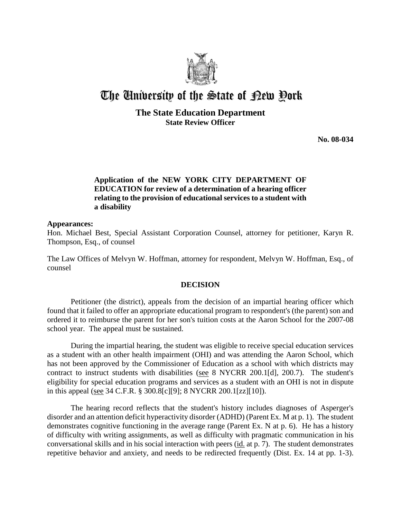

# The University of the State of Pew Pork

# **The State Education Department State Review Officer**

**No. 08-034**

# **Application of the NEW YORK CITY DEPARTMENT OF EDUCATION for review of a determination of a hearing officer relating to the provision of educational services to a student with a disability**

#### **Appearances:**

Hon. Michael Best, Special Assistant Corporation Counsel, attorney for petitioner, Karyn R. Thompson, Esq., of counsel

The Law Offices of Melvyn W. Hoffman, attorney for respondent, Melvyn W. Hoffman, Esq., of counsel

### **DECISION**

Petitioner (the district), appeals from the decision of an impartial hearing officer which found that it failed to offer an appropriate educational program to respondent's (the parent) son and ordered it to reimburse the parent for her son's tuition costs at the Aaron School for the 2007-08 school year. The appeal must be sustained.

 During the impartial hearing, the student was eligible to receive special education services as a student with an other health impairment (OHI) and was attending the Aaron School, which has not been approved by the Commissioner of Education as a school with which districts may contract to instruct students with disabilities (see 8 NYCRR 200.1[d], 200.7). The student's eligibility for special education programs and services as a student with an OHI is not in dispute in this appeal (see 34 C.F.R. § 300.8[c][9]; 8 NYCRR 200.1[zz][10]).

The hearing record reflects that the student's history includes diagnoses of Asperger's disorder and an attention deficit hyperactivity disorder (ADHD) (Parent Ex. M at p. 1). The student demonstrates cognitive functioning in the average range (Parent Ex. N at p. 6). He has a history of difficulty with writing assignments, as well as difficulty with pragmatic communication in his conversational skills and in his social interaction with peers (id. at p. 7). The student demonstrates repetitive behavior and anxiety, and needs to be redirected frequently (Dist. Ex. 14 at pp. 1-3).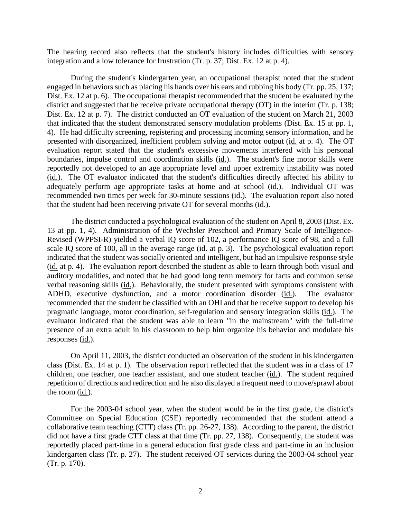The hearing record also reflects that the student's history includes difficulties with sensory integration and a low tolerance for frustration (Tr. p. 37; Dist. Ex. 12 at p. 4).

During the student's kindergarten year, an occupational therapist noted that the student engaged in behaviors such as placing his hands over his ears and rubbing his body (Tr. pp. 25, 137; Dist. Ex. 12 at p. 6). The occupational therapist recommended that the student be evaluated by the district and suggested that he receive private occupational therapy (OT) in the interim (Tr. p. 138; Dist. Ex. 12 at p. 7). The district conducted an OT evaluation of the student on March 21, 2003 that indicated that the student demonstrated sensory modulation problems (Dist. Ex. 15 at pp. 1, 4). He had difficulty screening, registering and processing incoming sensory information, and he presented with disorganized, inefficient problem solving and motor output (id. at p. 4). The OT evaluation report stated that the student's excessive movements interfered with his personal boundaries, impulse control and coordination skills (id.). The student's fine motor skills were reportedly not developed to an age appropriate level and upper extremity instability was noted (id.). The OT evaluator indicated that the student's difficulties directly affected his ability to adequately perform age appropriate tasks at home and at school (id.). Individual OT was recommended two times per week for 30-minute sessions (id.). The evaluation report also noted that the student had been receiving private OT for several months (id.).

The district conducted a psychological evaluation of the student on April 8, 2003 (Dist. Ex. 13 at pp. 1, 4). Administration of the Wechsler Preschool and Primary Scale of Intelligence-Revised (WPPSI-R) yielded a verbal IQ score of 102, a performance IQ score of 98, and a full scale IQ score of 100, all in the average range (id. at p. 3). The psychological evaluation report indicated that the student was socially oriented and intelligent, but had an impulsive response style (id. at p. 4). The evaluation report described the student as able to learn through both visual and auditory modalities, and noted that he had good long term memory for facts and common sense verbal reasoning skills (id.). Behaviorally, the student presented with symptoms consistent with ADHD, executive dysfunction, and a motor coordination disorder (id.). The evaluator recommended that the student be classified with an OHI and that he receive support to develop his pragmatic language, motor coordination, self-regulation and sensory integration skills (id.). The evaluator indicated that the student was able to learn "in the mainstream" with the full-time presence of an extra adult in his classroom to help him organize his behavior and modulate his responses (id.).

On April 11, 2003, the district conducted an observation of the student in his kindergarten class (Dist. Ex. 14 at p. 1). The observation report reflected that the student was in a class of 17 children, one teacher, one teacher assistant, and one student teacher (id.). The student required repetition of directions and redirection and he also displayed a frequent need to move/sprawl about the room (id.).

For the 2003-04 school year, when the student would be in the first grade, the district's Committee on Special Education (CSE) reportedly recommended that the student attend a collaborative team teaching (CTT) class (Tr. pp. 26-27, 138). According to the parent, the district did not have a first grade CTT class at that time (Tr. pp. 27, 138). Consequently, the student was reportedly placed part-time in a general education first grade class and part-time in an inclusion kindergarten class (Tr. p. 27). The student received OT services during the 2003-04 school year (Tr. p. 170).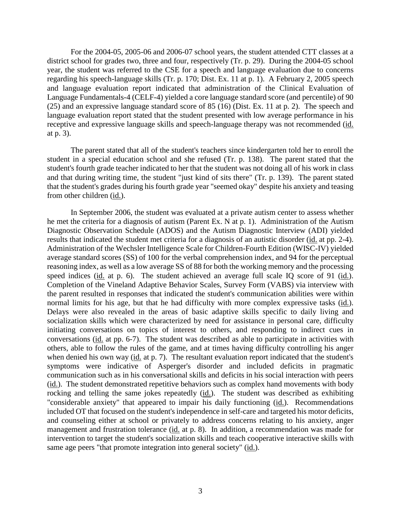For the 2004-05, 2005-06 and 2006-07 school years, the student attended CTT classes at a district school for grades two, three and four, respectively (Tr. p. 29). During the 2004-05 school year, the student was referred to the CSE for a speech and language evaluation due to concerns regarding his speech-language skills (Tr. p. 170; Dist. Ex. 11 at p. 1). A February 2, 2005 speech and language evaluation report indicated that administration of the Clinical Evaluation of Language Fundamentals-4 (CELF-4) yielded a core language standard score (and percentile) of 90 (25) and an expressive language standard score of 85 (16) (Dist. Ex. 11 at p. 2). The speech and language evaluation report stated that the student presented with low average performance in his receptive and expressive language skills and speech-language therapy was not recommended (id. at p. 3).

The parent stated that all of the student's teachers since kindergarten told her to enroll the student in a special education school and she refused (Tr. p. 138). The parent stated that the student's fourth grade teacher indicated to her that the student was not doing all of his work in class and that during writing time, the student "just kind of sits there" (Tr. p. 139). The parent stated that the student's grades during his fourth grade year "seemed okay" despite his anxiety and teasing from other children (id.).

In September 2006, the student was evaluated at a private autism center to assess whether he met the criteria for a diagnosis of autism (Parent Ex. N at p. 1). Administration of the Autism Diagnostic Observation Schedule (ADOS) and the Autism Diagnostic Interview (ADI) yielded results that indicated the student met criteria for a diagnosis of an autistic disorder (id. at pp. 2-4). Administration of the Wechsler Intelligence Scale for Children-Fourth Edition (WISC-IV) yielded average standard scores (SS) of 100 for the verbal comprehension index, and 94 for the perceptual reasoning index, as well as a low average SS of 88 for both the working memory and the processing speed indices (id. at p. 6). The student achieved an average full scale IQ score of 91 (id.). Completion of the Vineland Adaptive Behavior Scales, Survey Form (VABS) via interview with the parent resulted in responses that indicated the student's communication abilities were within normal limits for his age, but that he had difficulty with more complex expressive tasks (id.). Delays were also revealed in the areas of basic adaptive skills specific to daily living and socialization skills which were characterized by need for assistance in personal care, difficulty initiating conversations on topics of interest to others, and responding to indirect cues in conversations (id. at pp. 6-7). The student was described as able to participate in activities with others, able to follow the rules of the game, and at times having difficulty controlling his anger when denied his own way (id. at p. 7). The resultant evaluation report indicated that the student's symptoms were indicative of Asperger's disorder and included deficits in pragmatic communication such as in his conversational skills and deficits in his social interaction with peers (id.). The student demonstrated repetitive behaviors such as complex hand movements with body rocking and telling the same jokes repeatedly (id.). The student was described as exhibiting "considerable anxiety" that appeared to impair his daily functioning (id.). Recommendations included OT that focused on the student's independence in self-care and targeted his motor deficits, and counseling either at school or privately to address concerns relating to his anxiety, anger management and frustration tolerance (id. at p. 8). In addition, a recommendation was made for intervention to target the student's socialization skills and teach cooperative interactive skills with same age peers "that promote integration into general society" (id.).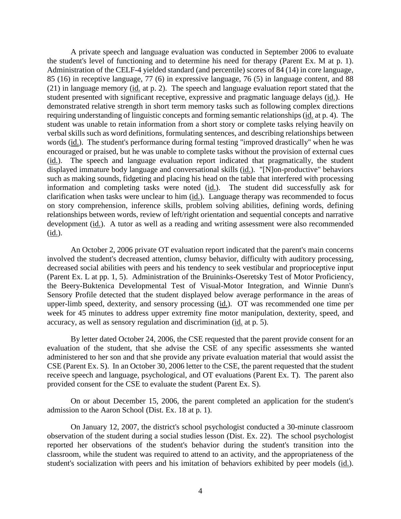A private speech and language evaluation was conducted in September 2006 to evaluate the student's level of functioning and to determine his need for therapy (Parent Ex. M at p. 1). Administration of the CELF-4 yielded standard (and percentile) scores of 84 (14) in core language, 85 (16) in receptive language, 77 (6) in expressive language, 76 (5) in language content, and 88 (21) in language memory (id. at p. 2). The speech and language evaluation report stated that the student presented with significant receptive, expressive and pragmatic language delays (id.). He demonstrated relative strength in short term memory tasks such as following complex directions requiring understanding of linguistic concepts and forming semantic relationships (id. at p. 4). The student was unable to retain information from a short story or complete tasks relying heavily on verbal skills such as word definitions, formulating sentences, and describing relationships between words (id.). The student's performance during formal testing "improved drastically" when he was encouraged or praised, but he was unable to complete tasks without the provision of external cues (id.). The speech and language evaluation report indicated that pragmatically, the student displayed immature body language and conversational skills (id.). "[N]on-productive" behaviors such as making sounds, fidgeting and placing his head on the table that interfered with processing information and completing tasks were noted (id.). The student did successfully ask for clarification when tasks were unclear to him (id.). Language therapy was recommended to focus on story comprehension, inference skills, problem solving abilities, defining words, defining relationships between words, review of left/right orientation and sequential concepts and narrative development (id.). A tutor as well as a reading and writing assessment were also recommended (id.).

An October 2, 2006 private OT evaluation report indicated that the parent's main concerns involved the student's decreased attention, clumsy behavior, difficulty with auditory processing, decreased social abilities with peers and his tendency to seek vestibular and proprioceptive input (Parent Ex. L at pp. 1, 5). Administration of the Bruininks-Oseretsky Test of Motor Proficiency, the Beery-Buktenica Developmental Test of Visual-Motor Integration, and Winnie Dunn's Sensory Profile detected that the student displayed below average performance in the areas of upper-limb speed, dexterity, and sensory processing (id.). OT was recommended one time per week for 45 minutes to address upper extremity fine motor manipulation, dexterity, speed, and accuracy, as well as sensory regulation and discrimination (id. at p. 5).

By letter dated October 24, 2006, the CSE requested that the parent provide consent for an evaluation of the student, that she advise the CSE of any specific assessments she wanted administered to her son and that she provide any private evaluation material that would assist the CSE (Parent Ex. S). In an October 30, 2006 letter to the CSE, the parent requested that the student receive speech and language, psychological, and OT evaluations (Parent Ex. T). The parent also provided consent for the CSE to evaluate the student (Parent Ex. S).

On or about December 15, 2006, the parent completed an application for the student's admission to the Aaron School (Dist. Ex. 18 at p. 1).

On January 12, 2007, the district's school psychologist conducted a 30-minute classroom observation of the student during a social studies lesson (Dist. Ex. 22). The school psychologist reported her observations of the student's behavior during the student's transition into the classroom, while the student was required to attend to an activity, and the appropriateness of the student's socialization with peers and his imitation of behaviors exhibited by peer models (id.).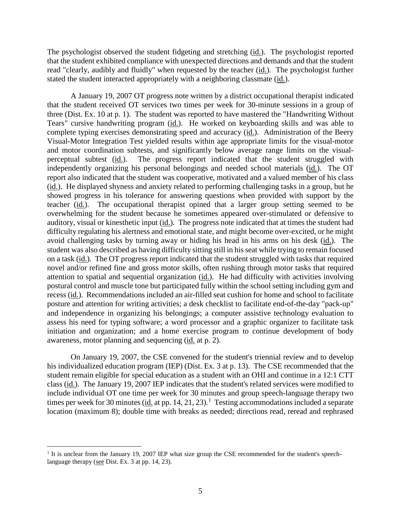The psychologist observed the student fidgeting and stretching (id.). The psychologist reported that the student exhibited compliance with unexpected directions and demands and that the student read "clearly, audibly and fluidly" when requested by the teacher (id.). The psychologist further stated the student interacted appropriately with a neighboring classmate (id.).

A January 19, 2007 OT progress note written by a district occupational therapist indicated that the student received OT services two times per week for 30-minute sessions in a group of three (Dist. Ex. 10 at p. 1). The student was reported to have mastered the "Handwriting Without Tears" cursive handwriting program (id.). He worked on keyboarding skills and was able to complete typing exercises demonstrating speed and accuracy (id.). Administration of the Beery Visual-Motor Integration Test yielded results within age appropriate limits for the visual-motor and motor coordination subtests, and significantly below average range limits on the visualperceptual subtest (id.). The progress report indicated that the student struggled with independently organizing his personal belongings and needed school materials (id.). The OT report also indicated that the student was cooperative, motivated and a valued member of his class (id.). He displayed shyness and anxiety related to performing challenging tasks in a group, but he showed progress in his tolerance for answering questions when provided with support by the teacher (id.). The occupational therapist opined that a larger group setting seemed to be overwhelming for the student because he sometimes appeared over-stimulated or defensive to auditory, visual or kinesthetic input (id.). The progress note indicated that at times the student had difficulty regulating his alertness and emotional state, and might become over-excited, or he might avoid challenging tasks by turning away or hiding his head in his arms on his desk (id.). The student was also described as having difficulty sitting still in his seat while trying to remain focused on a task (id.). The OT progress report indicated that the student struggled with tasks that required novel and/or refined fine and gross motor skills, often rushing through motor tasks that required attention to spatial and sequential organization (id.). He had difficulty with activities involving postural control and muscle tone but participated fully within the school setting including gym and recess (id.). Recommendations included an air-filled seat cushion for home and school to facilitate posture and attention for writing activities; a desk checklist to facilitate end-of-the-day "pack-up" and independence in organizing his belongings; a computer assistive technology evaluation to assess his need for typing software; a word processor and a graphic organizer to facilitate task initiation and organization; and a home exercise program to continue development of body awareness, motor planning and sequencing (id. at p. 2).

On January 19, 2007, the CSE convened for the student's triennial review and to develop his individualized education program (IEP) (Dist. Ex. 3 at p. 13). The CSE recommended that the student remain eligible for special education as a student with an OHI and continue in a 12:1 CTT class (id.). The January 19, 2007 IEP indicates that the student's related services were modified to include individual OT one time per week for 30 minutes and group speech-language therapy two times per week for 30 minutes (id. at pp. 14, 21, 23).<sup>1</sup> Testing accommodations included a separate location (maximum 8); double time with breaks as needed; directions read, reread and rephrased

<sup>&</sup>lt;sup>1</sup> It is unclear from the January 19, 2007 IEP what size group the CSE recommended for the student's speechlanguage therapy (see Dist. Ex. 3 at pp. 14, 23).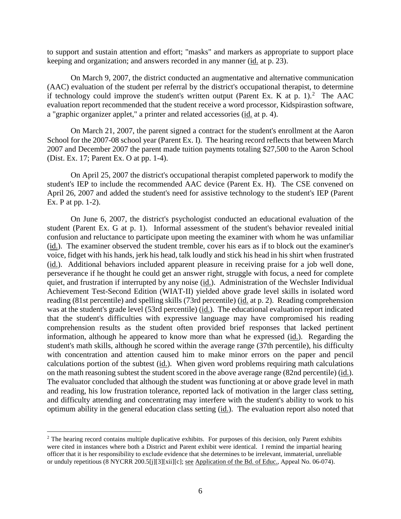to support and sustain attention and effort; "masks" and markers as appropriate to support place keeping and organization; and answers recorded in any manner (id. at p. 23).

On March 9, 2007, the district conducted an augmentative and alternative communication (AAC) evaluation of the student per referral by the district's occupational therapist, to determine if technology could improve the student's written output (Parent Ex. K at p. 1).<sup>2</sup> The AAC evaluation report recommended that the student receive a word processor, Kidspirastion software, a "graphic organizer applet," a printer and related accessories (id. at p. 4).

On March 21, 2007, the parent signed a contract for the student's enrollment at the Aaron School for the 2007-08 school year (Parent Ex. I). The hearing record reflects that between March 2007 and December 2007 the parent made tuition payments totaling \$27,500 to the Aaron School (Dist. Ex. 17; Parent Ex. O at pp. 1-4).

On April 25, 2007 the district's occupational therapist completed paperwork to modify the student's IEP to include the recommended AAC device (Parent Ex. H). The CSE convened on April 26, 2007 and added the student's need for assistive technology to the student's IEP (Parent Ex. P at pp. 1-2).

On June 6, 2007, the district's psychologist conducted an educational evaluation of the student (Parent Ex. G at p. 1). Informal assessment of the student's behavior revealed initial confusion and reluctance to participate upon meeting the examiner with whom he was unfamiliar (id.). The examiner observed the student tremble, cover his ears as if to block out the examiner's voice, fidget with his hands, jerk his head, talk loudly and stick his head in his shirt when frustrated (id.). Additional behaviors included apparent pleasure in receiving praise for a job well done, perseverance if he thought he could get an answer right, struggle with focus, a need for complete quiet, and frustration if interrupted by any noise (id.). Administration of the Wechsler Individual Achievement Test-Second Edition (WIAT-II) yielded above grade level skills in isolated word reading (81st percentile) and spelling skills (73rd percentile) (id. at p. 2). Reading comprehension was at the student's grade level (53rd percentile) (id.). The educational evaluation report indicated that the student's difficulties with expressive language may have compromised his reading comprehension results as the student often provided brief responses that lacked pertinent information, although he appeared to know more than what he expressed (id.). Regarding the student's math skills, although he scored within the average range (37th percentile), his difficulty with concentration and attention caused him to make minor errors on the paper and pencil calculations portion of the subtest (id.). When given word problems requiring math calculations on the math reasoning subtest the student scored in the above average range (82nd percentile) (id.). The evaluator concluded that although the student was functioning at or above grade level in math and reading, his low frustration tolerance, reported lack of motivation in the larger class setting, and difficulty attending and concentrating may interfere with the student's ability to work to his optimum ability in the general education class setting (id.). The evaluation report also noted that

<sup>&</sup>lt;sup>2</sup> The hearing record contains multiple duplicative exhibits. For purposes of this decision, only Parent exhibits were cited in instances where both a District and Parent exhibit were identical. I remind the impartial hearing officer that it is her responsibility to exclude evidence that she determines to be irrelevant, immaterial, unreliable or unduly repetitious (8 NYCRR 200.5[j][3][xii][c]; see Application of the Bd. of Educ., Appeal No. 06-074).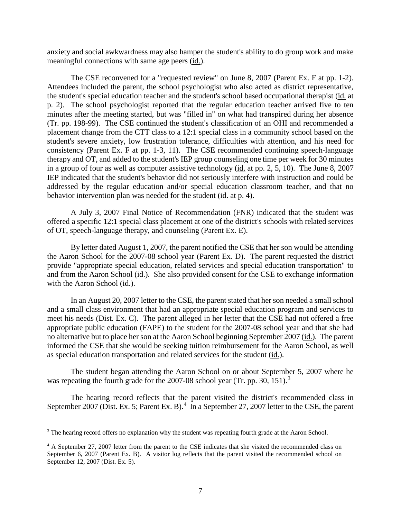anxiety and social awkwardness may also hamper the student's ability to do group work and make meaningful connections with same age peers (id.).

The CSE reconvened for a "requested review" on June 8, 2007 (Parent Ex. F at pp. 1-2). Attendees included the parent, the school psychologist who also acted as district representative, the student's special education teacher and the student's school based occupational therapist (id. at p. 2). The school psychologist reported that the regular education teacher arrived five to ten minutes after the meeting started, but was "filled in" on what had transpired during her absence (Tr. pp. 198-99). The CSE continued the student's classification of an OHI and recommended a placement change from the CTT class to a 12:1 special class in a community school based on the student's severe anxiety, low frustration tolerance, difficulties with attention, and his need for consistency (Parent Ex. F at pp. 1-3, 11). The CSE recommended continuing speech-language therapy and OT, and added to the student's IEP group counseling one time per week for 30 minutes in a group of four as well as computer assistive technology (id. at pp. 2, 5, 10). The June 8, 2007 IEP indicated that the student's behavior did not seriously interfere with instruction and could be addressed by the regular education and/or special education classroom teacher, and that no behavior intervention plan was needed for the student (id. at p. 4).

A July 3, 2007 Final Notice of Recommendation (FNR) indicated that the student was offered a specific 12:1 special class placement at one of the district's schools with related services of OT, speech-language therapy, and counseling (Parent Ex. E).

By letter dated August 1, 2007, the parent notified the CSE that her son would be attending the Aaron School for the 2007-08 school year (Parent Ex. D). The parent requested the district provide "appropriate special education, related services and special education transportation" to and from the Aaron School (id.). She also provided consent for the CSE to exchange information with the Aaron School (id.).

In an August 20, 2007 letter to the CSE, the parent stated that her son needed a small school and a small class environment that had an appropriate special education program and services to meet his needs (Dist. Ex. C). The parent alleged in her letter that the CSE had not offered a free appropriate public education (FAPE) to the student for the 2007-08 school year and that she had no alternative but to place her son at the Aaron School beginning September 2007 (id.). The parent informed the CSE that she would be seeking tuition reimbursement for the Aaron School, as well as special education transportation and related services for the student (id.).

The student began attending the Aaron School on or about September 5, 2007 where he was repeating the fourth grade for the 2007-08 school year (Tr. pp. 30, 151).<sup>3</sup>

The hearing record reflects that the parent visited the district's recommended class in September 2007 (Dist. Ex. 5; Parent Ex. B).<sup>4</sup> In a September 27, 2007 letter to the CSE, the parent

<sup>&</sup>lt;sup>3</sup> The hearing record offers no explanation why the student was repeating fourth grade at the Aaron School.

<sup>&</sup>lt;sup>4</sup> A September 27, 2007 letter from the parent to the CSE indicates that she visited the recommended class on September 6, 2007 (Parent Ex. B). A visitor log reflects that the parent visited the recommended school on September 12, 2007 (Dist. Ex. 5).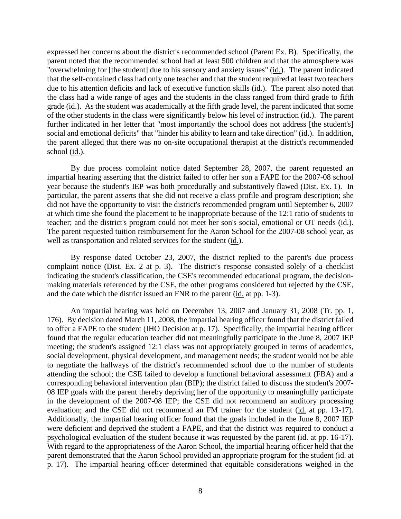expressed her concerns about the district's recommended school (Parent Ex. B). Specifically, the parent noted that the recommended school had at least 500 children and that the atmosphere was "overwhelming for [the student] due to his sensory and anxiety issues" (id.). The parent indicated that the self-contained class had only one teacher and that the student required at least two teachers due to his attention deficits and lack of executive function skills (id.). The parent also noted that the class had a wide range of ages and the students in the class ranged from third grade to fifth grade (id.). As the student was academically at the fifth grade level, the parent indicated that some of the other students in the class were significantly below his level of instruction (id.). The parent further indicated in her letter that "most importantly the school does not address [the student's] social and emotional deficits" that "hinder his ability to learn and take direction" (id.). In addition, the parent alleged that there was no on-site occupational therapist at the district's recommended school (id.).

By due process complaint notice dated September 28, 2007, the parent requested an impartial hearing asserting that the district failed to offer her son a FAPE for the 2007-08 school year because the student's IEP was both procedurally and substantively flawed (Dist. Ex. 1). In particular, the parent asserts that she did not receive a class profile and program description; she did not have the opportunity to visit the district's recommended program until September 6, 2007 at which time she found the placement to be inappropriate because of the 12:1 ratio of students to teacher; and the district's program could not meet her son's social, emotional or OT needs (id.). The parent requested tuition reimbursement for the Aaron School for the 2007-08 school year, as well as transportation and related services for the student (id.).

By response dated October 23, 2007, the district replied to the parent's due process complaint notice (Dist. Ex. 2 at p. 3). The district's response consisted solely of a checklist indicating the student's classification, the CSE's recommended educational program, the decisionmaking materials referenced by the CSE, the other programs considered but rejected by the CSE, and the date which the district issued an FNR to the parent (id. at pp. 1-3).

An impartial hearing was held on December 13, 2007 and January 31, 2008 (Tr. pp. 1, 176). By decision dated March 11, 2008, the impartial hearing officer found that the district failed to offer a FAPE to the student (IHO Decision at p. 17). Specifically, the impartial hearing officer found that the regular education teacher did not meaningfully participate in the June 8, 2007 IEP meeting; the student's assigned 12:1 class was not appropriately grouped in terms of academics, social development, physical development, and management needs; the student would not be able to negotiate the hallways of the district's recommended school due to the number of students attending the school; the CSE failed to develop a functional behavioral assessment (FBA) and a corresponding behavioral intervention plan (BIP); the district failed to discuss the student's 2007- 08 IEP goals with the parent thereby depriving her of the opportunity to meaningfully participate in the development of the 2007-08 IEP; the CSE did not recommend an auditory processing evaluation; and the CSE did not recommend an FM trainer for the student (id. at pp. 13-17). Additionally, the impartial hearing officer found that the goals included in the June 8, 2007 IEP were deficient and deprived the student a FAPE, and that the district was required to conduct a psychological evaluation of the student because it was requested by the parent (id. at pp. 16-17). With regard to the appropriateness of the Aaron School, the impartial hearing officer held that the parent demonstrated that the Aaron School provided an appropriate program for the student (id. at p. 17). The impartial hearing officer determined that equitable considerations weighed in the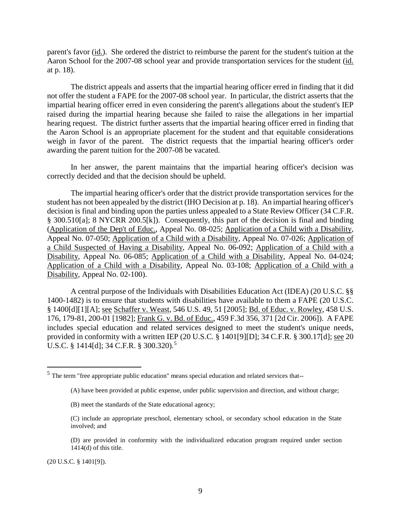parent's favor (id.). She ordered the district to reimburse the parent for the student's tuition at the Aaron School for the 2007-08 school year and provide transportation services for the student (id. at p. 18).

The district appeals and asserts that the impartial hearing officer erred in finding that it did not offer the student a FAPE for the 2007-08 school year. In particular, the district asserts that the impartial hearing officer erred in even considering the parent's allegations about the student's IEP raised during the impartial hearing because she failed to raise the allegations in her impartial hearing request. The district further asserts that the impartial hearing officer erred in finding that the Aaron School is an appropriate placement for the student and that equitable considerations weigh in favor of the parent. The district requests that the impartial hearing officer's order awarding the parent tuition for the 2007-08 be vacated.

In her answer, the parent maintains that the impartial hearing officer's decision was correctly decided and that the decision should be upheld.

The impartial hearing officer's order that the district provide transportation services for the student has not been appealed by the district (IHO Decision at p. 18). An impartial hearing officer's decision is final and binding upon the parties unless appealed to a State Review Officer (34 C.F.R. § 300.510[a]; 8 NYCRR 200.5[k]). Consequently, this part of the decision is final and binding (Application of the Dep't of Educ., Appeal No. 08-025; Application of a Child with a Disability, Appeal No. 07-050; Application of a Child with a Disability, Appeal No. 07-026; Application of a Child Suspected of Having a Disability, Appeal No. 06-092; Application of a Child with a Disability, Appeal No. 06-085; Application of a Child with a Disability, Appeal No. 04-024; Application of a Child with a Disability, Appeal No. 03-108; Application of a Child with a Disability, Appeal No. 02-100).

A central purpose of the Individuals with Disabilities Education Act (IDEA) (20 U.S.C. §§ 1400-1482) is to ensure that students with disabilities have available to them a FAPE (20 U.S.C. § 1400[d][1][A]; see Schaffer v. Weast, 546 U.S. 49, 51 [2005]; Bd. of Educ. v. Rowley, 458 U.S. 176, 179-81, 200-01 [1982]; Frank G. v. Bd. of Educ., 459 F.3d 356, 371 [2d Cir. 2006]). A FAPE includes special education and related services designed to meet the student's unique needs, provided in conformity with a written IEP (20 U.S.C. § 1401[9][D]; 34 C.F.R. § 300.17[d]; see 20 U.S.C. § 1414[d]; 34 C.F.R. § 300.320).<sup>5</sup>

- (C) include an appropriate preschool, elementary school, or secondary school education in the State involved; and
- (D) are provided in conformity with the individualized education program required under section 1414(d) of this title.

(20 U.S.C. § 1401[9]).

 <sup>5</sup> The term "free appropriate public education" means special education and related services that--

<sup>(</sup>A) have been provided at public expense, under public supervision and direction, and without charge;

<sup>(</sup>B) meet the standards of the State educational agency;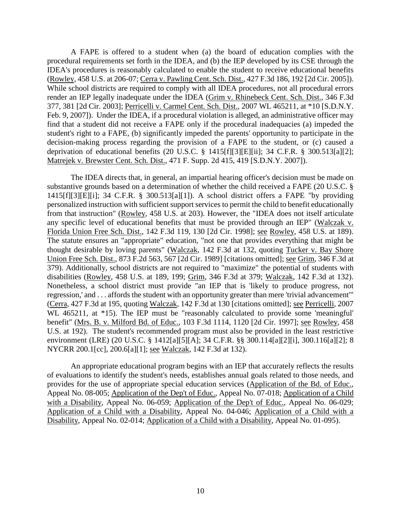A FAPE is offered to a student when (a) the board of education complies with the procedural requirements set forth in the IDEA, and (b) the IEP developed by its CSE through the IDEA's procedures is reasonably calculated to enable the student to receive educational benefits (Rowley, 458 U.S. at 206-07; Cerra v. Pawling Cent. Sch. Dist., 427 F.3d 186, 192 [2d Cir. 2005]). While school districts are required to comply with all IDEA procedures, not all procedural errors render an IEP legally inadequate under the IDEA (Grim v. Rhinebeck Cent. Sch. Dist., 346 F.3d 377, 381 [2d Cir. 2003]; Perricelli v. Carmel Cent. Sch. Dist., 2007 WL 465211, at \*10 [S.D.N.Y. Feb. 9, 2007]). Under the IDEA, if a procedural violation is alleged, an administrative officer may find that a student did not receive a FAPE only if the procedural inadequacies (a) impeded the student's right to a FAPE, (b) significantly impeded the parents' opportunity to participate in the decision-making process regarding the provision of a FAPE to the student, or (c) caused a deprivation of educational benefits (20 U.S.C. § 1415[f][3][E][ii]; 34 C.F.R. § 300.513[a][2]; Matrejek v. Brewster Cent. Sch. Dist., 471 F. Supp. 2d 415, 419 [S.D.N.Y. 2007]).

The IDEA directs that, in general, an impartial hearing officer's decision must be made on substantive grounds based on a determination of whether the child received a FAPE (20 U.S.C. § 1415[f][3][E][i]; 34 C.F.R. § 300.513[a][1]). A school district offers a FAPE "by providing personalized instruction with sufficient support services to permit the child to benefit educationally from that instruction" (Rowley, 458 U.S. at 203). However, the "IDEA does not itself articulate any specific level of educational benefits that must be provided through an IEP" (Walczak v. Florida Union Free Sch. Dist., 142 F.3d 119, 130 [2d Cir. 1998]; see Rowley, 458 U.S. at 189). The statute ensures an "appropriate" education, "not one that provides everything that might be thought desirable by loving parents" (Walczak, 142 F.3d at 132, quoting Tucker v. Bay Shore Union Free Sch. Dist., 873 F.2d 563, 567 [2d Cir. 1989] [citations omitted]; see Grim, 346 F.3d at 379). Additionally, school districts are not required to "maximize" the potential of students with disabilities (Rowley, 458 U.S. at 189, 199; Grim, 346 F.3d at 379; Walczak, 142 F.3d at 132). Nonetheless, a school district must provide "an IEP that is 'likely to produce progress, not regression,' and . . . affords the student with an opportunity greater than mere 'trivial advancement'" (Cerra, 427 F.3d at 195, quoting Walczak, 142 F.3d at 130 [citations omitted]; see Perricelli, 2007 WL 465211, at \*15). The IEP must be "reasonably calculated to provide some 'meaningful' benefit" (Mrs. B. v. Milford Bd. of Educ., 103 F.3d 1114, 1120 [2d Cir. 1997]; see Rowley, 458 U.S. at 192). The student's recommended program must also be provided in the least restrictive environment (LRE) (20 U.S.C. § 1412[a][5][A]; 34 C.F.R. §§ 300.114[a][2][i], 300.116[a][2]; 8 NYCRR 200.1[cc], 200.6[a][1]; see Walczak, 142 F.3d at 132).

An appropriate educational program begins with an IEP that accurately reflects the results of evaluations to identify the student's needs, establishes annual goals related to those needs, and provides for the use of appropriate special education services (Application of the Bd. of Educ., Appeal No. 08-005; Application of the Dep't of Educ., Appeal No. 07-018; Application of a Child with a Disability, Appeal No. 06-059; Application of the Dep't of Educ., Appeal No. 06-029; Application of a Child with a Disability, Appeal No. 04-046; Application of a Child with a Disability, Appeal No. 02-014; Application of a Child with a Disability, Appeal No. 01-095).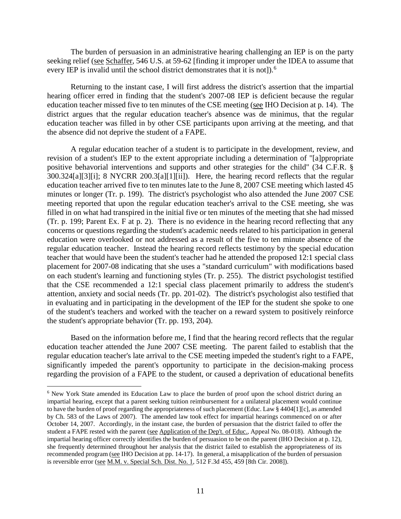The burden of persuasion in an administrative hearing challenging an IEP is on the party seeking relief (see Schaffer, 546 U.S. at 59-62 [finding it improper under the IDEA to assume that every IEP is invalid until the school district demonstrates that it is not]).<sup>6</sup>

Returning to the instant case, I will first address the district's assertion that the impartial hearing officer erred in finding that the student's 2007-08 IEP is deficient because the regular education teacher missed five to ten minutes of the CSE meeting (see IHO Decision at p. 14). The district argues that the regular education teacher's absence was de minimus, that the regular education teacher was filled in by other CSE participants upon arriving at the meeting, and that the absence did not deprive the student of a FAPE.

A regular education teacher of a student is to participate in the development, review, and revision of a student's IEP to the extent appropriate including a determination of "[a]ppropriate positive behavorial interventions and supports and other strategies for the child" (34 C.F.R. § 300.324[a][3][i]; 8 NYCRR 200.3[a][1][ii]). Here, the hearing record reflects that the regular education teacher arrived five to ten minutes late to the June 8, 2007 CSE meeting which lasted 45 minutes or longer (Tr. p. 199). The district's psychologist who also attended the June 2007 CSE meeting reported that upon the regular education teacher's arrival to the CSE meeting, she was filled in on what had transpired in the initial five or ten minutes of the meeting that she had missed (Tr. p. 199; Parent Ex. F at p. 2). There is no evidence in the hearing record reflecting that any concerns or questions regarding the student's academic needs related to his participation in general education were overlooked or not addressed as a result of the five to ten minute absence of the regular education teacher. Instead the hearing record reflects testimony by the special education teacher that would have been the student's teacher had he attended the proposed 12:1 special class placement for 2007-08 indicating that she uses a "standard curriculum" with modifications based on each student's learning and functioning styles (Tr. p. 255). The district psychologist testified that the CSE recommended a 12:1 special class placement primarily to address the student's attention, anxiety and social needs (Tr. pp. 201-02). The district's psychologist also testified that in evaluating and in participating in the development of the IEP for the student she spoke to one of the student's teachers and worked with the teacher on a reward system to positively reinforce the student's appropriate behavior (Tr. pp. 193, 204).

Based on the information before me, I find that the hearing record reflects that the regular education teacher attended the June 2007 CSE meeting. The parent failed to establish that the regular education teacher's late arrival to the CSE meeting impeded the student's right to a FAPE, significantly impeded the parent's opportunity to participate in the decision-making process regarding the provision of a FAPE to the student, or caused a deprivation of educational benefits

<sup>&</sup>lt;sup>6</sup> New York State amended its Education Law to place the burden of proof upon the school district during an impartial hearing, except that a parent seeking tuition reimbursement for a unilateral placement would continue to have the burden of proof regarding the appropriateness of such placement (Educ. Law § 4404[1][c], as amended by Ch. 583 of the Laws of 2007). The amended law took effect for impartial hearings commenced on or after October 14, 2007. Accordingly, in the instant case, the burden of persuasion that the district failed to offer the student a FAPE rested with the parent (see Application of the Dep't. of Educ., Appeal No. 08-018). Although the impartial hearing officer correctly identifies the burden of persuasion to be on the parent (IHO Decision at p. 12), she frequently determined throughout her analysis that the district failed to establish the appropriateness of its recommended program (see IHO Decision at pp. 14-17). In general, a misapplication of the burden of persuasion is reversible error (see M.M. v. Special Sch. Dist. No. 1, 512 F.3d 455, 459 [8th Cir. 2008]).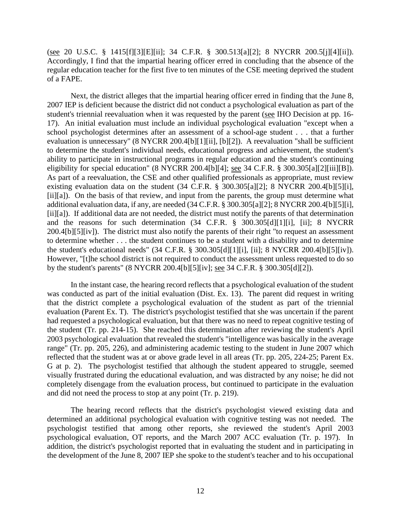(see 20 U.S.C. § 1415[f][3][E][ii]; 34 C.F.R. § 300.513[a][2]; 8 NYCRR 200.5[j][4][ii]). Accordingly, I find that the impartial hearing officer erred in concluding that the absence of the regular education teacher for the first five to ten minutes of the CSE meeting deprived the student of a FAPE.

Next, the district alleges that the impartial hearing officer erred in finding that the June 8, 2007 IEP is deficient because the district did not conduct a psychological evaluation as part of the student's triennial reevaluation when it was requested by the parent (see IHO Decision at pp. 16- 17). An initial evaluation must include an individual psychological evaluation "except when a school psychologist determines after an assessment of a school-age student . . . that a further evaluation is unnecessary" (8 NYCRR 200.4[b][1][ii], [b][2]). A reevaluation "shall be sufficient to determine the student's individual needs, educational progress and achievement, the student's ability to participate in instructional programs in regular education and the student's continuing eligibility for special education" (8 NYCRR 200.4[b][4]; see 34 C.F.R. § 300.305[a][2][iii][B]). As part of a reevaluation, the CSE and other qualified professionals as appropriate, must review existing evaluation data on the student (34 C.F.R. § 300.305[a][2]; 8 NYCRR 200.4[b][5][i], [ii][a]). On the basis of that review, and input from the parents, the group must determine what additional evaluation data, if any, are needed (34 C.F.R. § 300.305[a][2]; 8 NYCRR 200.4[b][5][i], [ii][a]). If additional data are not needed, the district must notify the parents of that determination and the reasons for such determination (34 C.F.R. § 300.305[d][1][i], [ii]; 8 NYCRR 200.4[b][5][iv]). The district must also notify the parents of their right "to request an assessment to determine whether . . . the student continues to be a student with a disability and to determine the student's educational needs" (34 C.F.R. § 300.305[d][1][i], [ii]; 8 NYCRR 200.4[b][5][iv]). However, "[t]he school district is not required to conduct the assessment unless requested to do so by the student's parents" (8 NYCRR 200.4[b][5][iv]; see 34 C.F.R. § 300.305[d][2]).

In the instant case, the hearing record reflects that a psychological evaluation of the student was conducted as part of the initial evaluation (Dist. Ex. 13). The parent did request in writing that the district complete a psychological evaluation of the student as part of the triennial evaluation (Parent Ex. T). The district's psychologist testified that she was uncertain if the parent had requested a psychological evaluation, but that there was no need to repeat cognitive testing of the student (Tr. pp. 214-15). She reached this determination after reviewing the student's April 2003 psychological evaluation that revealed the student's "intelligence was basically in the average range" (Tr. pp. 205, 226), and administering academic testing to the student in June 2007 which reflected that the student was at or above grade level in all areas (Tr. pp. 205, 224-25; Parent Ex. G at p. 2). The psychologist testified that although the student appeared to struggle, seemed visually frustrated during the educational evaluation, and was distracted by any noise; he did not completely disengage from the evaluation process, but continued to participate in the evaluation and did not need the process to stop at any point (Tr. p. 219).

The hearing record reflects that the district's psychologist viewed existing data and determined an additional psychological evaluation with cognitive testing was not needed. The psychologist testified that among other reports, she reviewed the student's April 2003 psychological evaluation, OT reports, and the March 2007 ACC evaluation (Tr. p. 197). In addition, the district's psychologist reported that in evaluating the student and in participating in the development of the June 8, 2007 IEP she spoke to the student's teacher and to his occupational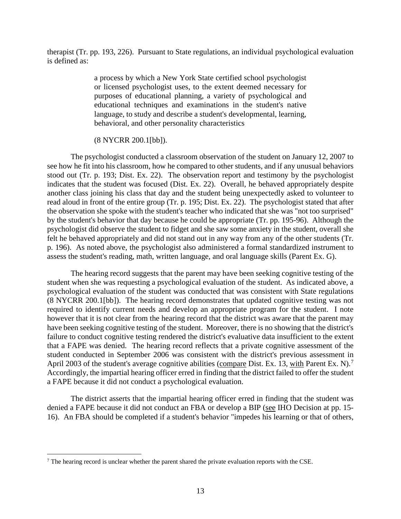therapist (Tr. pp. 193, 226). Pursuant to State regulations, an individual psychological evaluation is defined as:

> a process by which a New York State certified school psychologist or licensed psychologist uses, to the extent deemed necessary for purposes of educational planning, a variety of psychological and educational techniques and examinations in the student's native language, to study and describe a student's developmental, learning, behavioral, and other personality characteristics

#### (8 NYCRR 200.1[bb]).

The psychologist conducted a classroom observation of the student on January 12, 2007 to see how he fit into his classroom, how he compared to other students, and if any unusual behaviors stood out (Tr. p. 193; Dist. Ex. 22). The observation report and testimony by the psychologist indicates that the student was focused (Dist. Ex. 22). Overall, he behaved appropriately despite another class joining his class that day and the student being unexpectedly asked to volunteer to read aloud in front of the entire group (Tr. p. 195; Dist. Ex. 22). The psychologist stated that after the observation she spoke with the student's teacher who indicated that she was "not too surprised" by the student's behavior that day because he could be appropriate (Tr. pp. 195-96). Although the psychologist did observe the student to fidget and she saw some anxiety in the student, overall she felt he behaved appropriately and did not stand out in any way from any of the other students (Tr. p. 196). As noted above, the psychologist also administered a formal standardized instrument to assess the student's reading, math, written language, and oral language skills (Parent Ex. G).

The hearing record suggests that the parent may have been seeking cognitive testing of the student when she was requesting a psychological evaluation of the student. As indicated above, a psychological evaluation of the student was conducted that was consistent with State regulations (8 NYCRR 200.1[bb]). The hearing record demonstrates that updated cognitive testing was not required to identify current needs and develop an appropriate program for the student. I note however that it is not clear from the hearing record that the district was aware that the parent may have been seeking cognitive testing of the student. Moreover, there is no showing that the district's failure to conduct cognitive testing rendered the district's evaluative data insufficient to the extent that a FAPE was denied. The hearing record reflects that a private cognitive assessment of the student conducted in September 2006 was consistent with the district's previous assessment in April 2003 of the student's average cognitive abilities (compare Dist. Ex. 13, with Parent Ex. N).<sup>7</sup> Accordingly, the impartial hearing officer erred in finding that the district failed to offer the student a FAPE because it did not conduct a psychological evaluation.

The district asserts that the impartial hearing officer erred in finding that the student was denied a FAPE because it did not conduct an FBA or develop a BIP (see IHO Decision at pp. 15- 16). An FBA should be completed if a student's behavior "impedes his learning or that of others,

<sup>&</sup>lt;sup>7</sup> The hearing record is unclear whether the parent shared the private evaluation reports with the CSE.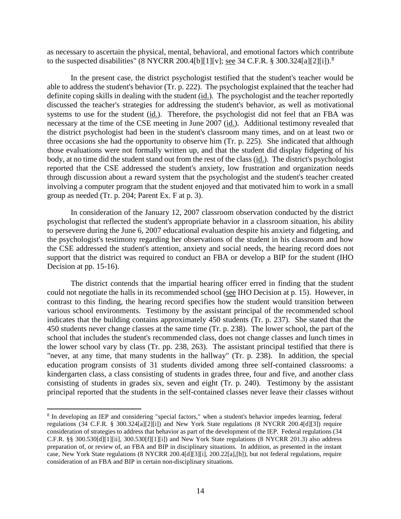as necessary to ascertain the physical, mental, behavioral, and emotional factors which contribute to the suspected disabilities" (8 NYCRR 200.4[b][1][v]; see 34 C.F.R. § 300.324[a][2][i]).<sup>8</sup>

In the present case, the district psychologist testified that the student's teacher would be able to address the student's behavior (Tr. p. 222). The psychologist explained that the teacher had definite coping skills in dealing with the student (id.). The psychologist and the teacher reportedly discussed the teacher's strategies for addressing the student's behavior, as well as motivational systems to use for the student (id.). Therefore, the psychologist did not feel that an FBA was necessary at the time of the CSE meeting in June 2007 (id.). Additional testimony revealed that the district psychologist had been in the student's classroom many times, and on at least two or three occasions she had the opportunity to observe him (Tr. p. 225). She indicated that although those evaluations were not formally written up, and that the student did display fidgeting of his body, at no time did the student stand out from the rest of the class (id.). The district's psychologist reported that the CSE addressed the student's anxiety, low frustration and organization needs through discussion about a reward system that the psychologist and the student's teacher created involving a computer program that the student enjoyed and that motivated him to work in a small group as needed (Tr. p. 204; Parent Ex. F at p. 3).

In consideration of the January 12, 2007 classroom observation conducted by the district psychologist that reflected the student's appropriate behavior in a classroom situation, his ability to persevere during the June 6, 2007 educational evaluation despite his anxiety and fidgeting, and the psychologist's testimony regarding her observations of the student in his classroom and how the CSE addressed the student's attention, anxiety and social needs, the hearing record does not support that the district was required to conduct an FBA or develop a BIP for the student (IHO Decision at pp. 15-16).

The district contends that the impartial hearing officer erred in finding that the student could not negotiate the halls in its recommended school (see IHO Decision at p. 15). However, in contrast to this finding, the hearing record specifies how the student would transition between various school environments. Testimony by the assistant principal of the recommended school indicates that the building contains approximately 450 students (Tr. p. 237). She stated that the 450 students never change classes at the same time (Tr. p. 238). The lower school, the part of the school that includes the student's recommended class, does not change classes and lunch times in the lower school vary by class (Tr. pp. 238, 263). The assistant principal testified that there is "never, at any time, that many students in the hallway" (Tr. p. 238). In addition, the special education program consists of 31 students divided among three self-contained classrooms: a kindergarten class, a class consisting of students in grades three, four and five, and another class consisting of students in grades six, seven and eight (Tr. p. 240). Testimony by the assistant principal reported that the students in the self-contained classes never leave their classes without

 <sup>8</sup> In developing an IEP and considering "special factors," when a student's behavior impedes learning, federal regulations (34 C.F.R. § 300.324[a][2][i]) and New York State regulations (8 NYCRR 200.4[d][3]) require consideration of strategies to address that behavior as part of the development of the IEP. Federal regulations (34 C.F.R. §§ 300.530[d][1][ii], 300.530[f][1][i]) and New York State regulations (8 NYCRR 201.3) also address preparation of, or review of, an FBA and BIP in disciplinary situations. In addition, as presented in the instant case, New York State regulations (8 NYCRR 200.4[d][3][i], 200.22[a],[b]), but not federal regulations, require consideration of an FBA and BIP in certain non-disciplinary situations.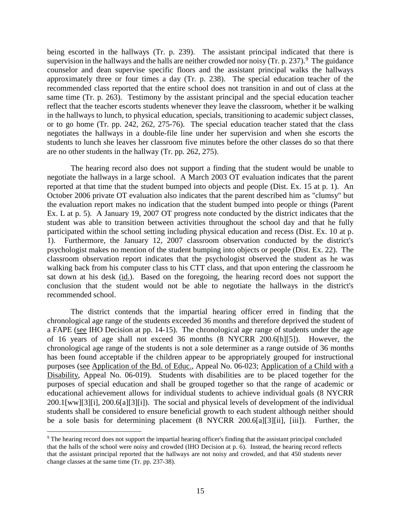being escorted in the hallways (Tr. p. 239). The assistant principal indicated that there is supervision in the hallways and the halls are neither crowded nor noisy  $(Tr. p. 237)$ . The guidance counselor and dean supervise specific floors and the assistant principal walks the hallways approximately three or four times a day (Tr. p. 238). The special education teacher of the recommended class reported that the entire school does not transition in and out of class at the same time (Tr. p. 263). Testimony by the assistant principal and the special education teacher reflect that the teacher escorts students whenever they leave the classroom, whether it be walking in the hallways to lunch, to physical education, specials, transitioning to academic subject classes, or to go home (Tr. pp. 242, 262, 275-76). The special education teacher stated that the class negotiates the hallways in a double-file line under her supervision and when she escorts the students to lunch she leaves her classroom five minutes before the other classes do so that there are no other students in the hallway (Tr. pp. 262, 275).

The hearing record also does not support a finding that the student would be unable to negotiate the hallways in a large school. A March 2003 OT evaluation indicates that the parent reported at that time that the student bumped into objects and people (Dist. Ex. 15 at p. 1). An October 2006 private OT evaluation also indicates that the parent described him as "clumsy" but the evaluation report makes no indication that the student bumped into people or things (Parent Ex. L at p. 5). A January 19, 2007 OT progress note conducted by the district indicates that the student was able to transition between activities throughout the school day and that he fully participated within the school setting including physical education and recess (Dist. Ex. 10 at p. 1). Furthermore, the January 12, 2007 classroom observation conducted by the district's psychologist makes no mention of the student bumping into objects or people (Dist. Ex. 22). The classroom observation report indicates that the psychologist observed the student as he was walking back from his computer class to his CTT class, and that upon entering the classroom he sat down at his desk (id.). Based on the foregoing, the hearing record does not support the conclusion that the student would not be able to negotiate the hallways in the district's recommended school.

The district contends that the impartial hearing officer erred in finding that the chronological age range of the students exceeded 36 months and therefore deprived the student of a FAPE (see IHO Decision at pp. 14-15). The chronological age range of students under the age of 16 years of age shall not exceed 36 months (8 NYCRR 200.6[h][5]). However, the chronological age range of the students is not a sole determiner as a range outside of 36 months has been found acceptable if the children appear to be appropriately grouped for instructional purposes (see Application of the Bd. of Educ., Appeal No. 06-023; Application of a Child with a Disability, Appeal No. 06-019). Students with disabilities are to be placed together for the purposes of special education and shall be grouped together so that the range of academic or educational achievement allows for individual students to achieve individual goals (8 NYCRR 200.1[ww][3][i], 200.6[a][3][i]). The social and physical levels of development of the individual students shall be considered to ensure beneficial growth to each student although neither should be a sole basis for determining placement (8 NYCRR 200.6[a][3][ii], [iii]). Further, the

 <sup>9</sup> The hearing record does not support the impartial hearing officer's finding that the assistant principal concluded that the halls of the school were noisy and crowded (IHO Decision at p. 6). Instead, the hearing record reflects that the assistant principal reported that the hallways are not noisy and crowded, and that 450 students never change classes at the same time (Tr. pp. 237-38).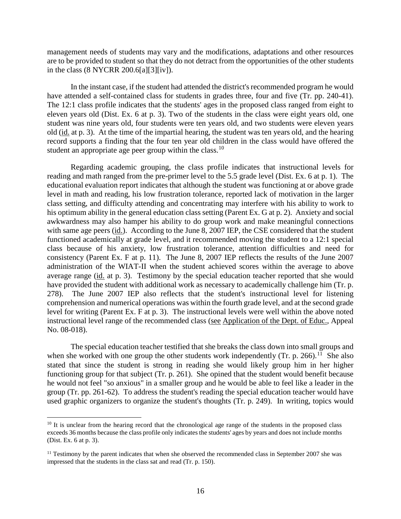management needs of students may vary and the modifications, adaptations and other resources are to be provided to student so that they do not detract from the opportunities of the other students in the class (8 NYCRR 200.6[a][3][iv]).

In the instant case, if the student had attended the district's recommended program he would have attended a self-contained class for students in grades three, four and five (Tr. pp. 240-41). The 12:1 class profile indicates that the students' ages in the proposed class ranged from eight to eleven years old (Dist. Ex. 6 at p. 3). Two of the students in the class were eight years old, one student was nine years old, four students were ten years old, and two students were eleven years old (id. at p. 3). At the time of the impartial hearing, the student was ten years old, and the hearing record supports a finding that the four ten year old children in the class would have offered the student an appropriate age peer group within the class.<sup>10</sup>

Regarding academic grouping, the class profile indicates that instructional levels for reading and math ranged from the pre-primer level to the 5.5 grade level (Dist. Ex. 6 at p. 1). The educational evaluation report indicates that although the student was functioning at or above grade level in math and reading, his low frustration tolerance, reported lack of motivation in the larger class setting, and difficulty attending and concentrating may interfere with his ability to work to his optimum ability in the general education class setting (Parent Ex. G at p. 2). Anxiety and social awkwardness may also hamper his ability to do group work and make meaningful connections with same age peers (id.). According to the June 8, 2007 IEP, the CSE considered that the student functioned academically at grade level, and it recommended moving the student to a 12:1 special class because of his anxiety, low frustration tolerance, attention difficulties and need for consistency (Parent Ex. F at p. 11). The June 8, 2007 IEP reflects the results of the June 2007 administration of the WIAT-II when the student achieved scores within the average to above average range (id. at p. 3). Testimony by the special education teacher reported that she would have provided the student with additional work as necessary to academically challenge him (Tr. p. 278). The June 2007 IEP also reflects that the student's instructional level for listening comprehension and numerical operations was within the fourth grade level, and at the second grade level for writing (Parent Ex. F at p. 3). The instructional levels were well within the above noted instructional level range of the recommended class (see Application of the Dept. of Educ., Appeal No. 08-018).

The special education teacher testified that she breaks the class down into small groups and when she worked with one group the other students work independently (Tr. p. 266).<sup>11</sup> She also stated that since the student is strong in reading she would likely group him in her higher functioning group for that subject (Tr. p. 261). She opined that the student would benefit because he would not feel "so anxious" in a smaller group and he would be able to feel like a leader in the group (Tr. pp. 261-62). To address the student's reading the special education teacher would have used graphic organizers to organize the student's thoughts (Tr. p. 249). In writing, topics would

<sup>&</sup>lt;sup>10</sup> It is unclear from the hearing record that the chronological age range of the students in the proposed class exceeds 36 months because the class profile only indicates the students' ages by years and does not include months (Dist. Ex. 6 at p. 3).

<sup>&</sup>lt;sup>11</sup> Testimony by the parent indicates that when she observed the recommended class in September 2007 she was impressed that the students in the class sat and read (Tr. p. 150).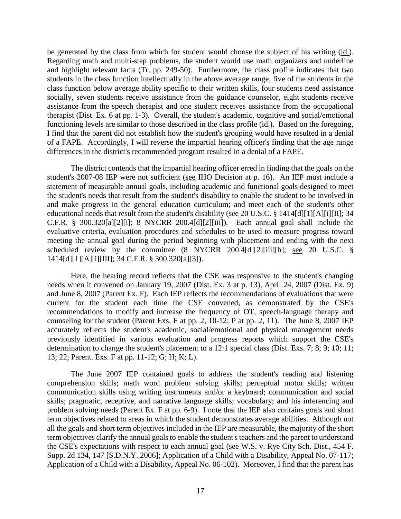be generated by the class from which for student would choose the subject of his writing (id.). Regarding math and multi-step problems, the student would use math organizers and underline and highlight relevant facts (Tr. pp. 249-50). Furthermore, the class profile indicates that two students in the class function intellectually in the above average range, five of the students in the class function below average ability specific to their written skills, four students need assistance socially, seven students receive assistance from the guidance counselor, eight students receive assistance from the speech therapist and one student receives assistance from the occupational therapist (Dist. Ex. 6 at pp. 1-3). Overall, the student's academic, cognitive and social/emotional functioning levels are similar to those described in the class profile (id.). Based on the foregoing, I find that the parent did not establish how the student's grouping would have resulted in a denial of a FAPE. Accordingly, I will reverse the impartial hearing officer's finding that the age range differences in the district's recommended program resulted in a denial of a FAPE.

The district contends that the impartial hearing officer erred in finding that the goals on the student's 2007-08 IEP were not sufficient (see IHO Decision at p. 16). An IEP must include a statement of measurable annual goals, including academic and functional goals designed to meet the student's needs that result from the student's disability to enable the student to be involved in and make progress in the general education curriculum; and meet each of the student's other educational needs that result from the student's disability (see 20 U.S.C. § 1414[d][1][A][i][II]; 34 C.F.R. § 300.320[a][2][i]; 8 NYCRR 200.4[d][2][iii]). Each annual goal shall include the evaluative criteria, evaluation procedures and schedules to be used to measure progress toward meeting the annual goal during the period beginning with placement and ending with the next scheduled review by the committee (8 NYCRR 200.4[d][2][iii][b]; <u>see</u> 20 U.S.C. § 1414[d][1][A][i][III]; 34 C.F.R. § 300.320[a][3]).

Here, the hearing record reflects that the CSE was responsive to the student's changing needs when it convened on January 19, 2007 (Dist. Ex. 3 at p. 13), April 24, 2007 (Dist. Ex. 9) and June 8, 2007 (Parent Ex. F). Each IEP reflects the recommendations of evaluations that were current for the student each time the CSE convened, as demonstrated by the CSE's recommendations to modify and increase the frequency of OT, speech-language therapy and counseling for the student (Parent Exs. F at pp. 2, 10-12; P at pp. 2, 11). The June 8, 2007 IEP accurately reflects the student's academic, social/emotional and physical management needs previously identified in various evaluation and progress reports which support the CSE's determination to change the student's placement to a 12:1 special class (Dist. Exs. 7; 8; 9; 10; 11; 13; 22; Parent. Exs. F at pp. 11-12; G; H; K; L).

The June 2007 IEP contained goals to address the student's reading and listening comprehension skills; math word problem solving skills; perceptual motor skills; written communication skills using writing instruments and/or a keyboard; communication and social skills; pragmatic, receptive, and narrative language skills; vocabulary; and his inferencing and problem solving needs (Parent Ex. F at pp. 6-9). I note that the IEP also contains goals and short term objectives related to areas in which the student demonstrates average abilities. Although not all the goals and short term objectives included in the IEP are measurable, the majority of the short term objectives clarify the annual goals to enable the student's teachers and the parent to understand the CSE's expectations with respect to each annual goal (see W.S. v. Rye City Sch. Dist., 454 F. Supp. 2d 134, 147 [S.D.N.Y. 2006]; Application of a Child with a Disability, Appeal No. 07-117; Application of a Child with a Disability, Appeal No. 06-102). Moreover, I find that the parent has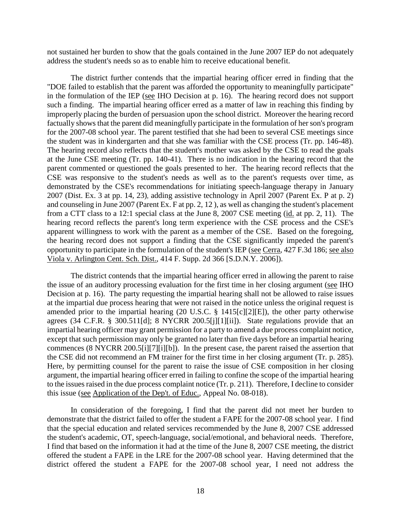not sustained her burden to show that the goals contained in the June 2007 IEP do not adequately address the student's needs so as to enable him to receive educational benefit.

The district further contends that the impartial hearing officer erred in finding that the "DOE failed to establish that the parent was afforded the opportunity to meaningfully participate" in the formulation of the IEP (see IHO Decision at p. 16). The hearing record does not support such a finding. The impartial hearing officer erred as a matter of law in reaching this finding by improperly placing the burden of persuasion upon the school district. Moreover the hearing record factually shows that the parent did meaningfully participate in the formulation of her son's program for the 2007-08 school year. The parent testified that she had been to several CSE meetings since the student was in kindergarten and that she was familiar with the CSE process (Tr. pp. 146-48). The hearing record also reflects that the student's mother was asked by the CSE to read the goals at the June CSE meeting (Tr. pp. 140-41). There is no indication in the hearing record that the parent commented or questioned the goals presented to her. The hearing record reflects that the CSE was responsive to the student's needs as well as to the parent's requests over time, as demonstrated by the CSE's recommendations for initiating speech-language therapy in January 2007 (Dist. Ex. 3 at pp. 14, 23), adding assistive technology in April 2007 (Parent Ex. P at p. 2) and counseling in June 2007 (Parent Ex. F at pp. 2, 12 ), as well as changing the student's placement from a CTT class to a 12:1 special class at the June 8, 2007 CSE meeting (id. at pp. 2, 11). The hearing record reflects the parent's long term experience with the CSE process and the CSE's apparent willingness to work with the parent as a member of the CSE. Based on the foregoing, the hearing record does not support a finding that the CSE significantly impeded the parent's opportunity to participate in the formulation of the student's IEP (see Cerra, 427 F.3d 186; see also Viola v. Arlington Cent. Sch. Dist., 414 F. Supp. 2d 366 [S.D.N.Y. 2006]).

The district contends that the impartial hearing officer erred in allowing the parent to raise the issue of an auditory processing evaluation for the first time in her closing argument (see IHO Decision at p. 16). The party requesting the impartial hearing shall not be allowed to raise issues at the impartial due process hearing that were not raised in the notice unless the original request is amended prior to the impartial hearing (20 U.S.C. § 1415[c][2][E]), the other party otherwise agrees (34 C.F.R. § 300.511[d]; 8 NYCRR 200.5[j][1][ii]). State regulations provide that an impartial hearing officer may grant permission for a party to amend a due process complaint notice, except that such permission may only be granted no later than five days before an impartial hearing commences (8 NYCRR 200.5[i][7][i][b]). In the present case, the parent raised the assertion that the CSE did not recommend an FM trainer for the first time in her closing argument (Tr. p. 285). Here, by permitting counsel for the parent to raise the issue of CSE composition in her closing argument, the impartial hearing officer erred in failing to confine the scope of the impartial hearing to the issues raised in the due process complaint notice (Tr. p. 211). Therefore, I decline to consider this issue (see Application of the Dep't. of Educ., Appeal No. 08-018).

In consideration of the foregoing, I find that the parent did not meet her burden to demonstrate that the district failed to offer the student a FAPE for the 2007-08 school year. I find that the special education and related services recommended by the June 8, 2007 CSE addressed the student's academic, OT, speech-language, social/emotional, and behavioral needs. Therefore, I find that based on the information it had at the time of the June 8, 2007 CSE meeting, the district offered the student a FAPE in the LRE for the 2007-08 school year. Having determined that the district offered the student a FAPE for the 2007-08 school year, I need not address the